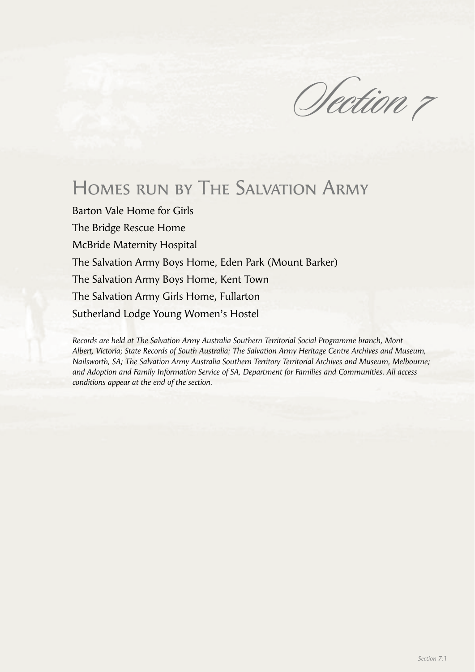Section 7

# Homes run by The Salvation Army

Barton Vale Home for Girls The Bridge Rescue Home McBride Maternity Hospital The Salvation Army Boys Home, Eden Park (Mount Barker) The Salvation Army Boys Home, Kent Town The Salvation Army Girls Home, Fullarton Sutherland Lodge Young Women's Hostel

*Records are held at The Salvation Army Australia Southern Territorial Social Programme branch, Mont Albert, Victoria; State Records of South Australia; The Salvation Army Heritage Centre Archives and Museum, Nailsworth, SA; The Salvation Army Australia Southern Territory Territorial Archives and Museum, Melbourne; and Adoption and Family Information Service of SA, Department for Families and Communities. All access conditions appear at the end of the section.*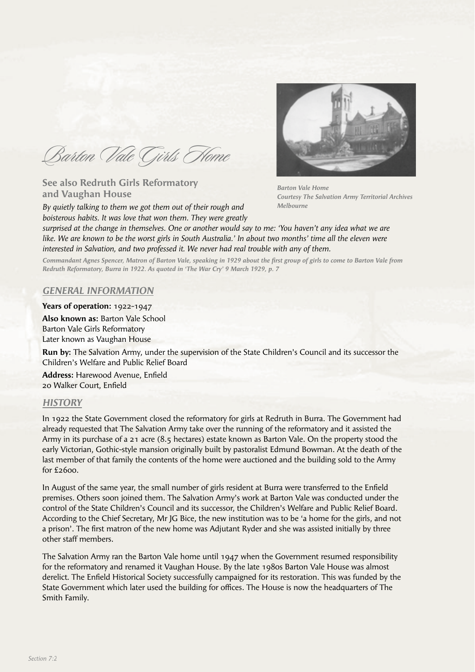Barton Vale Girls Home

**See also Redruth Girls Reformatory and Vaughan House**

*By quietly talking to them we got them out of their rough and boisterous habits. It was love that won them. They were greatly* 



*Barton Vale Home Courtesy The Salvation Army Territorial Archives Melbourne*

*surprised at the change in themselves. One or another would say to me: 'You haven't any idea what we are like. We are known to be the worst girls in South Australia.' In about two months' time all the eleven were interested in Salvation, and two professed it. We never had real trouble with any of them.* 

Commandant Agnes Spencer, Matron of Barton Vale, speaking in 1929 about the first group of girls to come to Barton Vale from *Redruth Reformatory, Burra in 1922. As quoted in 'The War Cry' 9 March 1929, p. 7*

## *GENERAL INFORMATION*

**Years of operation:** 1922-1947 **Also known as:** Barton Vale School Barton Vale Girls Reformatory Later known as Vaughan House

**Run by:** The Salvation Army, under the supervision of the State Children's Council and its successor the Children's Welfare and Public Relief Board

**Address: Harewood Avenue, Enfield** 20 Walker Court, Enfield

#### *HISTORY*

In 1922 the State Government closed the reformatory for girls at Redruth in Burra. The Government had already requested that The Salvation Army take over the running of the reformatory and it assisted the Army in its purchase of a 21 acre (8.5 hectares) estate known as Barton Vale. On the property stood the early Victorian, Gothic-style mansion originally built by pastoralist Edmund Bowman. At the death of the last member of that family the contents of the home were auctioned and the building sold to the Army for £2600.

In August of the same year, the small number of girls resident at Burra were transferred to the Enfield premises. Others soon joined them. The Salvation Army's work at Barton Vale was conducted under the control of the State Children's Council and its successor, the Children's Welfare and Public Relief Board. According to the Chief Secretary, Mr JG Bice, the new institution was to be 'a home for the girls, and not a prison'. The first matron of the new home was Adjutant Ryder and she was assisted initially by three other staff members.

The Salvation Army ran the Barton Vale home until 1947 when the Government resumed responsibility for the reformatory and renamed it Vaughan House. By the late 1980s Barton Vale House was almost derelict. The Enfield Historical Society successfully campaigned for its restoration. This was funded by the State Government which later used the building for offices. The House is now the headquarters of The Smith Family.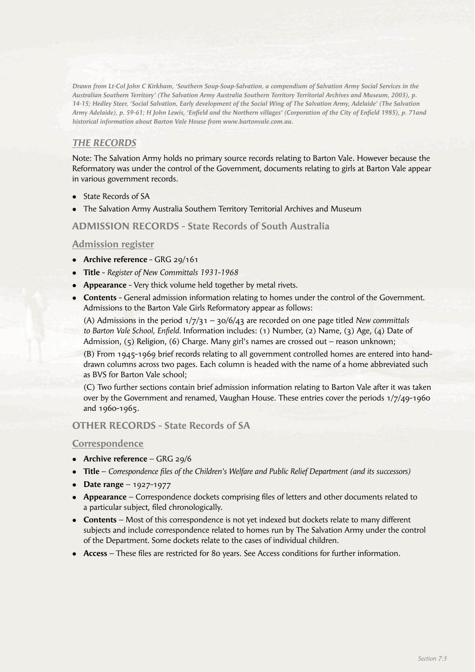*Drawn from Lt-Col John C Kirkham, 'Southern Soup-Soap-Salvation, a compendium of Salvation Army Social Services in the Australian Southern Territory' (The Salvation Army Australia Southern Territory Territorial Archives and Museum, 2003), p. 14-15; Hedley Steer, 'Social Salvation, Early development of the Social Wing of The Salvation Army, Adelaide' (The Salvation*  Army Adelaide), p. 59-61; H John Lewis, 'Enfield and the Northern villages' (Corporation of the City of Enfield 1985), p. 71and *historical information about Barton Vale House from www.bartonvale.com.au.*

# *THE RECORDS*

Note: The Salvation Army holds no primary source records relating to Barton Vale. However because the Reformatory was under the control of the Government, documents relating to girls at Barton Vale appear in various government records.

- State Records of SA
- The Salvation Army Australia Southern Territory Territorial Archives and Museum

# **ADMISSION RECORDS - State Records of South Australia**

## **Admission register**

- **Archive reference** GRG 29/161
- <sup>l</sup> **Title** *Register of New Committals 1931-1968*
- **Appearance** Very thick volume held together by metal rivets.
- **Contents** General admission information relating to homes under the control of the Government. Admissions to the Barton Vale Girls Reformatory appear as follows:

 (A) Admissions in the period 1/7/31 – 30/6/43 are recorded on one page titled *New committals to Barton Vale School, Enfield.* Information includes: (1) Number, (2) Name, (3) Age, (4) Date of Admission, (5) Religion, (6) Charge. Many girl's names are crossed out – reason unknown;

 (B) From 1945-1969 brief records relating to all government controlled homes are entered into handdrawn columns across two pages. Each column is headed with the name of a home abbreviated such as BVS for Barton Vale school;

 (C) Two further sections contain brief admission information relating to Barton Vale after it was taken over by the Government and renamed, Vaughan House. These entries cover the periods 1/7/49-1960 and 1960-1965.

#### **OTHER RECORDS - State Records of SA**

#### **Correspondence**

- **Archive reference** GRG 29/6
- **Title** *Correspondence files of the Children's Welfare and Public Relief Department (and its successors)*
- $\bullet$  **Date range** 1927-1977
- **Appearance** Correspondence dockets comprising files of letters and other documents related to a particular subject, filed chronologically.
- **Contents** Most of this correspondence is not yet indexed but dockets relate to many different subjects and include correspondence related to homes run by The Salvation Army under the control of the Department. Some dockets relate to the cases of individual children.
- Access These files are restricted for 80 years. See Access conditions for further information.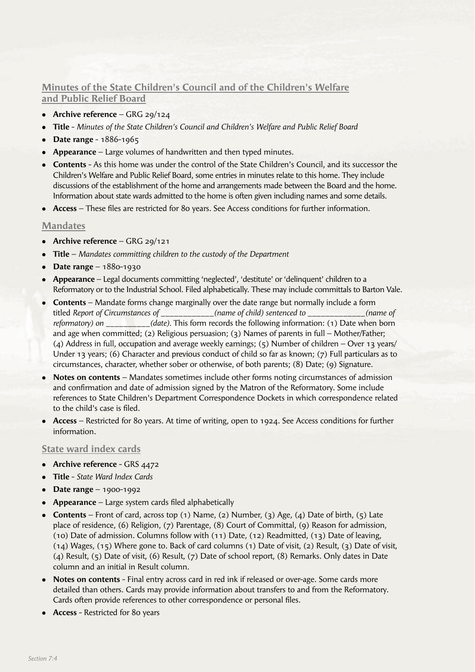# **Minutes of the State Children's Council and of the Children's Welfare and Public Relief Board**

- **Archive reference** GRG 29/124
- <sup>l</sup> **Title** *Minutes of the State Children's Council and Children's Welfare and Public Relief Board*
- **•** Date range 1886-1965
- **Appearance** Large volumes of handwritten and then typed minutes.
- **Contents** As this home was under the control of the State Children's Council, and its successor the Children's Welfare and Public Relief Board, some entries in minutes relate to this home. They include discussions of the establishment of the home and arrangements made between the Board and the home. Information about state wards admitted to the home is often given including names and some details.
- Access These files are restricted for 80 years. See Access conditions for further information.

#### **Mandates**

- **•** Archive reference GRG 29/121
- <sup>l</sup> **Title** *Mandates committing children to the custody of the Department*
- **•** Date range 1880-1930
- <sup>l</sup> **Appearance** Legal documents committing 'neglected', 'destitute' or 'delinquent' children to a Reformatory or to the Industrial School. Filed alphabetically. These may include committals to Barton Vale.
- **Contents** Mandate forms change marginally over the date range but normally include a form titled *Report of Circumstances of \_\_\_\_\_\_\_\_\_\_\_\_(name of child) sentenced to \_\_\_\_\_\_\_\_\_\_\_\_\_(name of reformatory) on \_\_\_\_\_\_\_\_\_\_(date).* This form records the following information: (1) Date when born and age when committed; (2) Religious persuasion; (3) Names of parents in full – Mother/Father; (4) Address in full, occupation and average weekly earnings; (5) Number of children – Over 13 years/ Under 13 years; (6) Character and previous conduct of child so far as known; (7) Full particulars as to circumstances, character, whether sober or otherwise, of both parents; (8) Date; (9) Signature.
- **Notes on contents** Mandates sometimes include other forms noting circumstances of admission and confirmation and date of admission signed by the Matron of the Reformatory. Some include references to State Children's Department Correspondence Dockets in which correspondence related to the child's case is filed.
- <sup>l</sup> **Access** Restricted for 80 years. At time of writing, open to 1924. See Access conditions for further information.

#### **State ward index cards**

- Archive reference GRS 4472
- <sup>l</sup> **Title** *State Ward Index Cards*
- **•** Date range 1900-1992
- Appearance Large system cards filed alphabetically
- <sup>l</sup> **Contents** Front of card, across top (1) Name, (2) Number, (3) Age, (4) Date of birth, (5) Late place of residence, (6) Religion, (7) Parentage, (8) Court of Committal, (9) Reason for admission, (10) Date of admission. Columns follow with (11) Date, (12) Readmitted, (13) Date of leaving, (14) Wages, (15) Where gone to. Back of card columns (1) Date of visit, (2) Result, (3) Date of visit, (4) Result, (5) Date of visit, (6) Result, (7) Date of school report, (8) Remarks. Only dates in Date column and an initial in Result column.
- <sup>l</sup> **Notes on contents** Final entry across card in red ink if released or over-age. Some cards more detailed than others. Cards may provide information about transfers to and from the Reformatory. Cards often provide references to other correspondence or personal files.
- **Access** Restricted for 80 years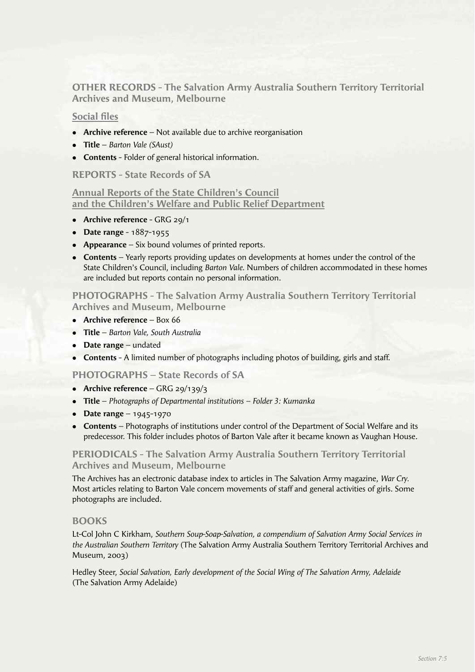**OTHER RECORDS - The Salvation Army Australia Southern Territory Territorial Archives and Museum, Melbourne**

# **Social files**

- **Archive reference** Not available due to archive reorganisation
- <sup>l</sup> **Title** *Barton Vale (SAust)*
- **Contents** Folder of general historical information.

## **REPORTS - State Records of SA**

# **Annual Reports of the State Children's Council and the Children's Welfare and Public Relief Department**

- **•** Archive reference GRG 29/1
- **•** Date range 1887-1955
- **Appearance** Six bound volumes of printed reports.
- **Contents** Yearly reports providing updates on developments at homes under the control of the State Children's Council, including *Barton Vale.* Numbers of children accommodated in these homes are included but reports contain no personal information.

**PHOTOGRAPHS - The Salvation Army Australia Southern Territory Territorial Archives and Museum, Melbourne**

- **Archive reference** Box 66
- **Title** *Barton Vale, South Australia*
- **•** Date range undated
- **Contents** A limited number of photographs including photos of building, girls and staff.

#### **PHOTOGRAPHS – State Records of SA**

- **•** Archive reference GRG 29/139/3
- <sup>l</sup> **Title** *Photographs of Departmental institutions Folder 3: Kumanka*
- **Date range**  $1945-1970$
- **Contents** Photographs of institutions under control of the Department of Social Welfare and its predecessor. This folder includes photos of Barton Vale after it became known as Vaughan House.

# **PERIODICALS - The Salvation Army Australia Southern Territory Territorial Archives and Museum, Melbourne**

The Archives has an electronic database index to articles in The Salvation Army magazine, *War Cry.* Most articles relating to Barton Vale concern movements of staff and general activities of girls. Some photographs are included.

#### **BOOKS**

Lt-Col John C Kirkham, *Southern Soup-Soap-Salvation, a compendium of Salvation Army Social Services in the Australian Southern Territory* (The Salvation Army Australia Southern Territory Territorial Archives and Museum, 2003)

Hedley Steer, *Social Salvation, Early development of the Social Wing of The Salvation Army, Adelaide*  (The Salvation Army Adelaide)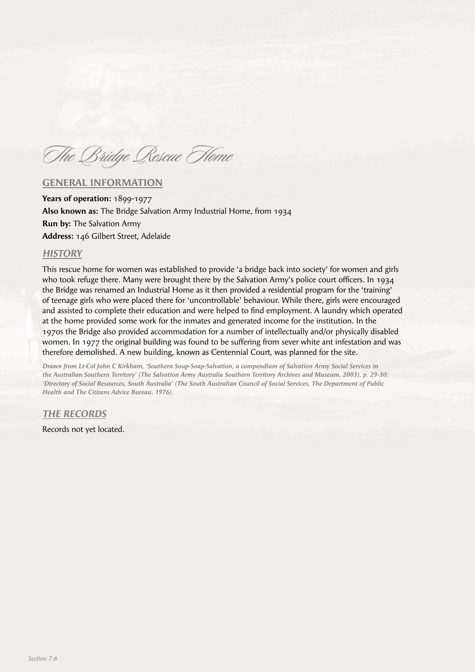The Bridge Rescue Home

## **GENERAL INFORMATION**

**Years of operation:** 1899-1977 **Also known as:** The Bridge Salvation Army Industrial Home, from 1934 **Run by:** The Salvation Army **Address:** 146 Gilbert Street, Adelaide

#### *HISTORY*

This rescue home for women was established to provide 'a bridge back into society' for women and girls who took refuge there. Many were brought there by the Salvation Army's police court officers. In 1934 the Bridge was renamed an Industrial Home as it then provided a residential program for the 'training' of teenage girls who were placed there for 'uncontrollable' behaviour. While there, girls were encouraged and assisted to complete their education and were helped to find employment. A laundry which operated at the home provided some work for the inmates and generated income for the institution. In the 1970s the Bridge also provided accommodation for a number of intellectually and/or physically disabled women. In 1977 the original building was found to be suffering from sever white ant infestation and was therefore demolished. A new building, known as Centennial Court, was planned for the site.

*Drawn from Lt-Col John C Kirkham, 'Southern Soup-Soap-Salvation, a compendium of Salvation Army Social Services in the Australian Southern Territory' (The Salvation Army Australia Southern Territory Archives and Museum, 2003), p. 29-30; 'Directory of Social Resources, South Australia' (The South Australian Council of Social Services, The Department of Public Health and The Citizens Advice Bureau, 1976).*

*THE RECORDS*

Records not yet located.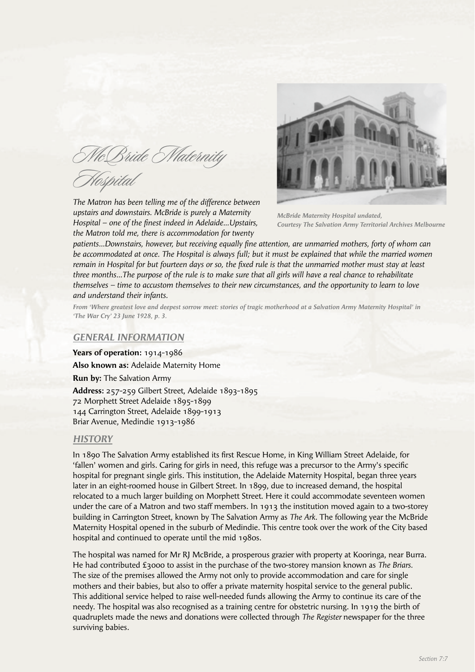McBride Maternity Hospital

*The Matron has been telling me of the difference between upstairs and downstairs. McBride is purely a Maternity Hospital – one of the finest indeed in Adelaide... Upstairs, the Matron told me, there is accommodation for twenty* 



*McBride Maternity Hospital undated, Courtesy The Salvation Army Territorial Archives Melbourne*

patients...Downstairs, however, but receiving equally fine attention, are unmarried mothers, forty of whom can *be accommodated at once. The Hospital is always full; but it must be explained that while the married women remain in Hospital for but fourteen days or so, the fixed rule is that the unmarried mother must stay at least three months…The purpose of the rule is to make sure that all girls will have a real chance to rehabilitate themselves – time to accustom themselves to their new circumstances, and the opportunity to learn to love and understand their infants.*

*From 'Where greatest love and deepest sorrow meet: stories of tragic motherhood at a Salvation Army Maternity Hospital' in 'The War Cry' 23 June 1928, p. 3.*

#### *GENERAL INFORMATION*

**Years of operation:** 1914-1986 **Also known as:** Adelaide Maternity Home **Run by:** The Salvation Army **Address:** 257-259 Gilbert Street, Adelaide 1893-1895 72 Morphett Street Adelaide 1895-1899 144 Carrington Street, Adelaide 1899-1913 Briar Avenue, Medindie 1913-1986

#### *HISTORY*

In 1890 The Salvation Army established its first Rescue Home, in King William Street Adelaide, for 'fallen' women and girls. Caring for girls in need, this refuge was a precursor to the Army's specific hospital for pregnant single girls. This institution, the Adelaide Maternity Hospital, began three years later in an eight-roomed house in Gilbert Street. In 1899, due to increased demand, the hospital relocated to a much larger building on Morphett Street. Here it could accommodate seventeen women under the care of a Matron and two staff members. In 1913 the institution moved again to a two-storey building in Carrington Street, known by The Salvation Army as *The Ark*. The following year the McBride Maternity Hospital opened in the suburb of Medindie. This centre took over the work of the City based hospital and continued to operate until the mid 1980s.

The hospital was named for Mr RJ McBride, a prosperous grazier with property at Kooringa, near Burra. He had contributed £3000 to assist in the purchase of the two-storey mansion known as *The Briars.*  The size of the premises allowed the Army not only to provide accommodation and care for single mothers and their babies, but also to offer a private maternity hospital service to the general public. This additional service helped to raise well-needed funds allowing the Army to continue its care of the needy. The hospital was also recognised as a training centre for obstetric nursing. In 1919 the birth of quadruplets made the news and donations were collected through *The Register* newspaper for the three surviving babies.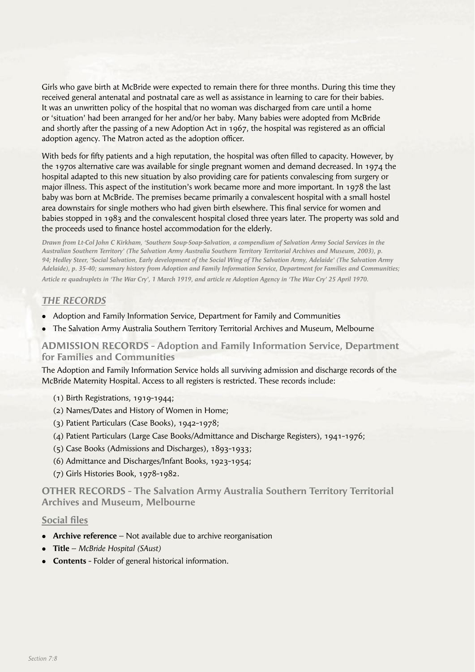Girls who gave birth at McBride were expected to remain there for three months. During this time they received general antenatal and postnatal care as well as assistance in learning to care for their babies. It was an unwritten policy of the hospital that no woman was discharged from care until a home or 'situation' had been arranged for her and/or her baby. Many babies were adopted from McBride and shortly after the passing of a new Adoption Act in 1967, the hospital was registered as an official adoption agency. The Matron acted as the adoption officer.

With beds for fifty patients and a high reputation, the hospital was often filled to capacity. However, by the 1970s alternative care was available for single pregnant women and demand decreased. In 1974 the hospital adapted to this new situation by also providing care for patients convalescing from surgery or major illness. This aspect of the institution's work became more and more important. In 1978 the last baby was born at McBride. The premises became primarily a convalescent hospital with a small hostel area downstairs for single mothers who had given birth elsewhere. This final service for women and babies stopped in 1983 and the convalescent hospital closed three years later. The property was sold and the proceeds used to finance hostel accommodation for the elderly.

*Drawn from Lt-Col John C Kirkham, 'Southern Soup-Soap-Salvation, a compendium of Salvation Army Social Services in the Australian Southern Territory' (The Salvation Army Australia Southern Territory Territorial Archives and Museum, 2003), p. 94; Hedley Steer, 'Social Salvation, Early development of the Social Wing of The Salvation Army, Adelaide' (The Salvation Army Adelaide), p. 35-40; summary history from Adoption and Family Information Service, Department for Families and Communities; Article re quadruplets in 'The War Cry', 1 March 1919, and article re Adoption Agency in 'The War Cry' 25 April 1970.*

# *THE RECORDS*

- <sup>l</sup> Adoption and Family Information Service, Department for Family and Communities
- <sup>l</sup> The Salvation Army Australia Southern Territory Territorial Archives and Museum, Melbourne

## **ADMISSION RECORDS - Adoption and Family Information Service, Department for Families and Communities**

The Adoption and Family Information Service holds all surviving admission and discharge records of the McBride Maternity Hospital. Access to all registers is restricted. These records include:

- (1) Birth Registrations, 1919-1944;
- (2) Names/Dates and History of Women in Home;
- (3) Patient Particulars (Case Books), 1942-1978;
- (4) Patient Particulars (Large Case Books/Admittance and Discharge Registers), 1941-1976;
- (5) Case Books (Admissions and Discharges), 1893-1933;
- (6) Admittance and Discharges/Infant Books, 1923-1954;
- (7) Girls Histories Book, 1978-1982.

# **OTHER RECORDS - The Salvation Army Australia Southern Territory Territorial Archives and Museum, Melbourne**

## **Social files**

- **Archive reference** Not available due to archive reorganisation
- <sup>l</sup> **Title** *McBride Hospital (SAust)*
- **Contents** Folder of general historical information.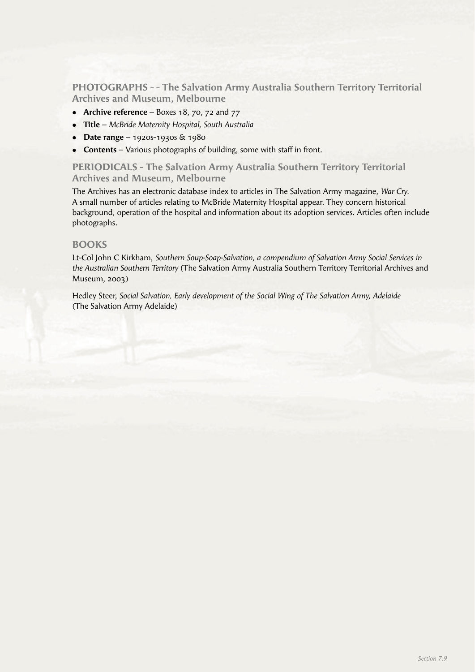**PHOTOGRAPHS - - The Salvation Army Australia Southern Territory Territorial Archives and Museum, Melbourne**

- **Archive reference** Boxes 18, 70, 72 and 77
- <sup>l</sup> **Title** *McBride Maternity Hospital, South Australia*
- **Date range** 1920s-1930s & 1980
- **Contents** Various photographs of building, some with staff in front.

**PERIODICALS - The Salvation Army Australia Southern Territory Territorial Archives and Museum, Melbourne**

The Archives has an electronic database index to articles in The Salvation Army magazine, *War Cry.*  A small number of articles relating to McBride Maternity Hospital appear. They concern historical background, operation of the hospital and information about its adoption services. Articles often include photographs.

#### **BOOKS**

Lt-Col John C Kirkham, *Southern Soup-Soap-Salvation, a compendium of Salvation Army Social Services in the Australian Southern Territory* (The Salvation Army Australia Southern Territory Territorial Archives and Museum, 2003)

Hedley Steer, *Social Salvation, Early development of the Social Wing of The Salvation Army, Adelaide*  (The Salvation Army Adelaide)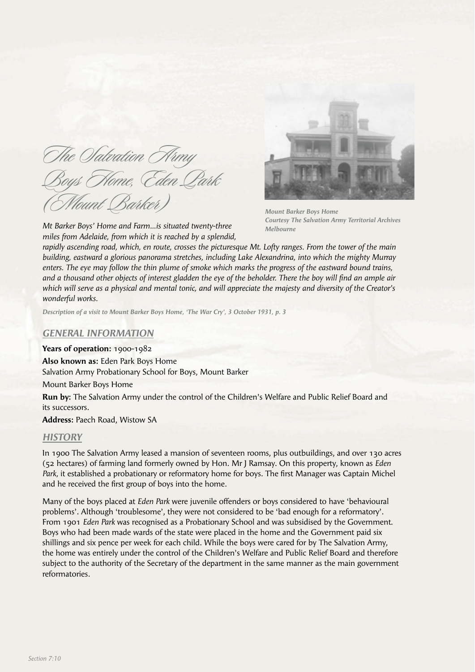The *Salvation* Army Boys Home, Eden Park (Mount Barker)

*Mt Barker Boys' Home and Farm…is situated twenty-three miles from Adelaide, from which it is reached by a splendid,* 



*Mount Barker Boys Home Courtesy The Salvation Army Territorial Archives Melbourne*

*rapidly ascending road, which, en route, crosses the picturesque Mt. Lofty ranges. From the tower of the main building, eastward a glorious panorama stretches, including Lake Alexandrina, into which the mighty Murray enters. The eye may follow the thin plume of smoke which marks the progress of the eastward bound trains,*  and a thousand other objects of interest gladden the eye of the beholder. There the boy will find an ample air *which will serve as a physical and mental tonic, and will appreciate the majesty and diversity of the Creator's wonderful works.*

*Description of a visit to Mount Barker Boys Home, 'The War Cry', 3 October 1931, p. 3*

## *GENERAL INFORMATION*

**Years of operation:** 1900-1982

**Also known as:** Eden Park Boys Home Salvation Army Probationary School for Boys, Mount Barker

Mount Barker Boys Home

**Run by:** The Salvation Army under the control of the Children's Welfare and Public Relief Board and its successors.

**Address:** Paech Road, Wistow SA

#### *HISTORY*

In 1900 The Salvation Army leased a mansion of seventeen rooms, plus outbuildings, and over 130 acres (52 hectares) of farming land formerly owned by Hon. Mr J Ramsay. On this property, known as *Eden*  Park, it established a probationary or reformatory home for boys. The first Manager was Captain Michel and he received the first group of boys into the home.

Many of the boys placed at *Eden Park* were juvenile offenders or boys considered to have 'behavioural problems'. Although 'troublesome', they were not considered to be 'bad enough for a reformatory'. From 1901 *Eden Park* was recognised as a Probationary School and was subsidised by the Government. Boys who had been made wards of the state were placed in the home and the Government paid six shillings and six pence per week for each child. While the boys were cared for by The Salvation Army, the home was entirely under the control of the Children's Welfare and Public Relief Board and therefore subject to the authority of the Secretary of the department in the same manner as the main government reformatories.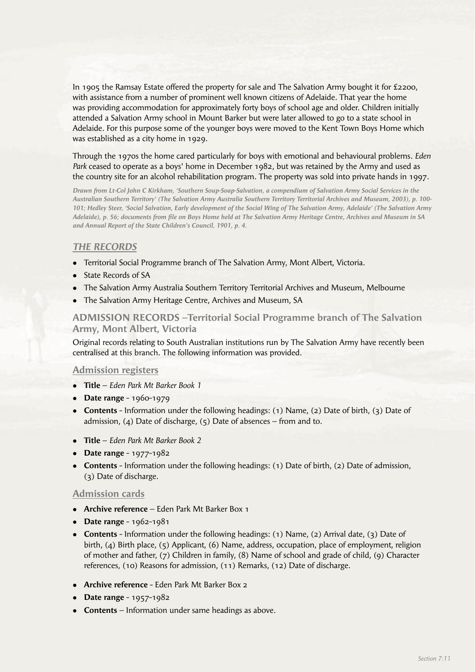In 1905 the Ramsay Estate offered the property for sale and The Salvation Army bought it for £2200, with assistance from a number of prominent well known citizens of Adelaide. That year the home was providing accommodation for approximately forty boys of school age and older. Children initially attended a Salvation Army school in Mount Barker but were later allowed to go to a state school in Adelaide. For this purpose some of the younger boys were moved to the Kent Town Boys Home which was established as a city home in 1929.

Through the 1970s the home cared particularly for boys with emotional and behavioural problems. *Eden Park* ceased to operate as a boys' home in December 1982, but was retained by the Army and used as the country site for an alcohol rehabilitation program. The property was sold into private hands in 1997.

*Drawn from Lt-Col John C Kirkham, 'Southern Soup-Soap-Salvation, a compendium of Salvation Army Social Services in the Australian Southern Territory' (The Salvation Army Australia Southern Territory Territorial Archives and Museum, 2003), p. 100- 101; Hedley Steer, 'Social Salvation, Early development of the Social Wing of The Salvation Army, Adelaide' (The Salvation Army*  Adelaide), p. 56; documents from file on Boys Home held at The Salvation Army Heritage Centre, Archives and Museum in SA *and Annual Report of the State Children's Council, 1901, p. 4.*

# *THE RECORDS*

- Territorial Social Programme branch of The Salvation Army, Mont Albert, Victoria.
- State Records of SA
- The Salvation Army Australia Southern Territory Territorial Archives and Museum, Melbourne
- The Salvation Army Heritage Centre, Archives and Museum, SA

**ADMISSION RECORDS –Territorial Social Programme branch of The Salvation Army, Mont Albert, Victoria**

Original records relating to South Australian institutions run by The Salvation Army have recently been centralised at this branch. The following information was provided.

#### **Admission registers**

- <sup>l</sup> **Title** *Eden Park Mt Barker Book 1*
- **•** Date range 1960-1979
- **Contents** Information under the following headings: (1) Name, (2) Date of birth, (3) Date of admission, (4) Date of discharge,  $(5)$  Date of absences – from and to.
- <sup>l</sup> **Title**  *Eden Park Mt Barker Book 2*
- **•** Date range 1977-1982
- **Contents** Information under the following headings: (1) Date of birth, (2) Date of admission, (3) Date of discharge.

#### **Admission cards**

- **Archive reference** Eden Park Mt Barker Box 1
- **•** Date range 1962-1981
- **Contents** Information under the following headings: (1) Name, (2) Arrival date, (3) Date of birth, (4) Birth place, (5) Applicant, (6) Name, address, occupation, place of employment, religion of mother and father, (7) Children in family, (8) Name of school and grade of child, (9) Character references, (10) Reasons for admission, (11) Remarks, (12) Date of discharge.
- **Archive reference** Eden Park Mt Barker Box 2
- **•** Date range 1957-1982
- **Contents** Information under same headings as above.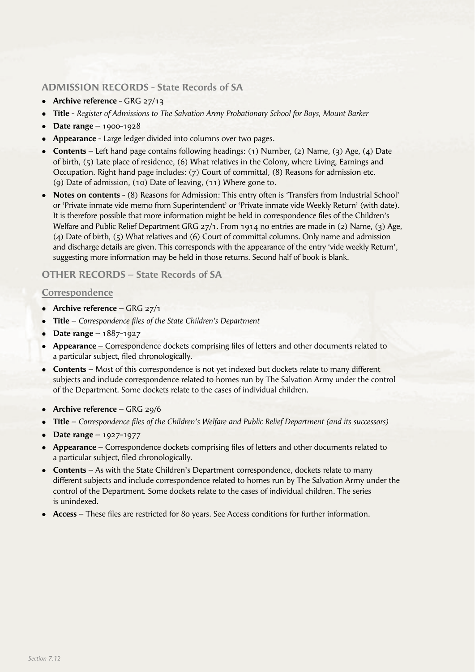# **ADMISSION RECORDS - State Records of SA**

- Archive reference GRG 27/13
- <sup>l</sup> **Title** *Register of Admissions to The Salvation Army Probationary School for Boys, Mount Barker*
- $\bullet$  **Date range** 1900-1928
- **Appearance** Large ledger divided into columns over two pages.
- <sup>l</sup> **Contents** Left hand page contains following headings: (1) Number, (2) Name, (3) Age, (4) Date of birth, (5) Late place of residence, (6) What relatives in the Colony, where Living, Earnings and Occupation. Right hand page includes: (7) Court of committal, (8) Reasons for admission etc. (9) Date of admission, (10) Date of leaving, (11) Where gone to.
- **Notes on contents** (8) Reasons for Admission: This entry often is 'Transfers from Industrial School' or 'Private inmate vide memo from Superintendent' or 'Private inmate vide Weekly Return' (with date). It is therefore possible that more information might be held in correspondence files of the Children's Welfare and Public Relief Department GRG 27/1. From 1914 no entries are made in (2) Name, (3) Age, (4) Date of birth, (5) What relatives and (6) Court of committal columns. Only name and admission and discharge details are given. This corresponds with the appearance of the entry 'vide weekly Return', suggesting more information may be held in those returns. Second half of book is blank.

## **OTHER RECORDS – State Records of SA**

## **Correspondence**

- **•** Archive reference GRG 27/1
- **Title** *Correspondence files of the State Children's Department*
- **Date range** 1887-1927
- Appearance Correspondence dockets comprising files of letters and other documents related to a particular subject, filed chronologically.
- **Contents** Most of this correspondence is not yet indexed but dockets relate to many different subjects and include correspondence related to homes run by The Salvation Army under the control of the Department. Some dockets relate to the cases of individual children.
- **•** Archive reference GRG 29/6
- **Title** *Correspondence files of the Children's Welfare and Public Relief Department (and its successors)*
- $\bullet$  **Date range** 1927-1977
- **Appearance** Correspondence dockets comprising files of letters and other documents related to a particular subject, filed chronologically.
- **Contents** As with the State Children's Department correspondence, dockets relate to many different subjects and include correspondence related to homes run by The Salvation Army under the control of the Department. Some dockets relate to the cases of individual children. The series is unindexed.
- Access These files are restricted for 80 years. See Access conditions for further information.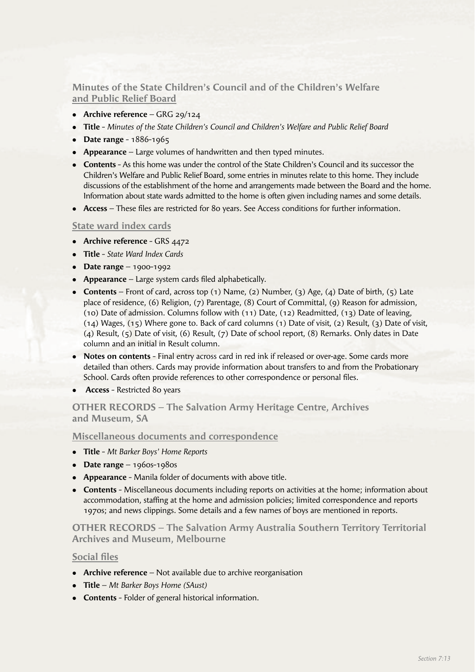**Minutes of the State Children's Council and of the Children's Welfare and Public Relief Board**

- **Archive reference** GRG 29/124
- **Title** *Minutes of the State Children's Council and Children's Welfare and Public Relief Board*
- **•** Date range 1886-1965
- **Appearance** Large volumes of handwritten and then typed minutes.
- **Contents** As this home was under the control of the State Children's Council and its successor the Children's Welfare and Public Relief Board, some entries in minutes relate to this home. They include discussions of the establishment of the home and arrangements made between the Board and the home. Information about state wards admitted to the home is often given including names and some details.
- Access These files are restricted for 80 years. See Access conditions for further information.

## **State ward index cards**

- Archive reference GRS 4472
- <sup>l</sup> **Title** *State Ward Index Cards*
- **•** Date range 1900-1992
- **Appearance** Large system cards filed alphabetically.
- <sup>l</sup> **Contents** Front of card, across top (1) Name, (2) Number, (3) Age, (4) Date of birth, (5) Late place of residence, (6) Religion, (7) Parentage, (8) Court of Committal, (9) Reason for admission, (10) Date of admission. Columns follow with (11) Date, (12) Readmitted, (13) Date of leaving, (14) Wages, (15) Where gone to. Back of card columns (1) Date of visit, (2) Result, (3) Date of visit, (4) Result, (5) Date of visit, (6) Result, (7) Date of school report, (8) Remarks. Only dates in Date column and an initial in Result column.
- <sup>l</sup> **Notes on contents** Final entry across card in red ink if released or over-age. Some cards more detailed than others. Cards may provide information about transfers to and from the Probationary School. Cards often provide references to other correspondence or personal files.
- **Access Restricted 80 years**

# **OTHER RECORDS – The Salvation Army Heritage Centre, Archives and Museum, SA**

**Miscellaneous documents and correspondence**

- <sup>l</sup> **Title** *Mt Barker Boys' Home Reports*
- **•** Date range  $-$  1960s-1980s
- **Appearance** Manila folder of documents with above title.
- **Contents** Miscellaneous documents including reports on activities at the home; information about accommodation, staffing at the home and admission policies; limited correspondence and reports 1970s; and news clippings. Some details and a few names of boys are mentioned in reports.

# **OTHER RECORDS – The Salvation Army Australia Southern Territory Territorial Archives and Museum, Melbourne**

## **Social files**

- **Archive reference** Not available due to archive reorganisation
- <sup>l</sup> **Title** *Mt Barker Boys Home (SAust)*
- **Contents** Folder of general historical information.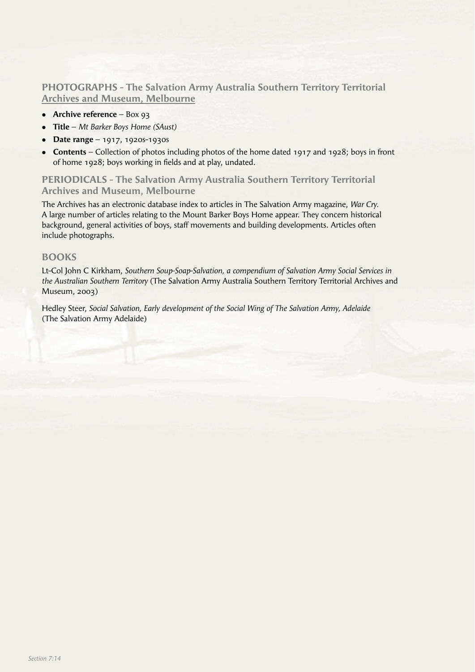**PHOTOGRAPHS - The Salvation Army Australia Southern Territory Territorial Archives and Museum, Melbourne**

- **•** Archive reference Box 93
- <sup>l</sup> **Title** *Mt Barker Boys Home (SAust)*
- **•** Date range 1917, 1920s-1930s
- **Contents** Collection of photos including photos of the home dated 1917 and 1928; boys in front of home 1928; boys working in fields and at play, undated.

**PERIODICALS - The Salvation Army Australia Southern Territory Territorial Archives and Museum, Melbourne**

The Archives has an electronic database index to articles in The Salvation Army magazine, *War Cry.* A large number of articles relating to the Mount Barker Boys Home appear. They concern historical background, general activities of boys, staff movements and building developments. Articles often include photographs.

#### **BOOKS**

Lt-Col John C Kirkham, *Southern Soup-Soap-Salvation, a compendium of Salvation Army Social Services in the Australian Southern Territory* (The Salvation Army Australia Southern Territory Territorial Archives and Museum, 2003)

Hedley Steer, *Social Salvation, Early development of the Social Wing of The Salvation Army, Adelaide* (The Salvation Army Adelaide)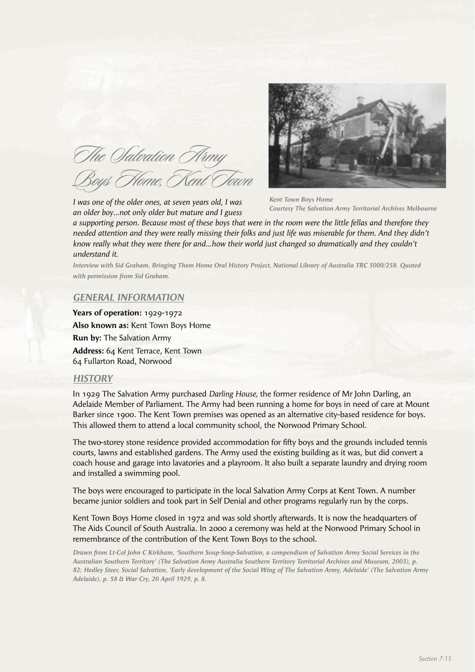The *Salvation* Army Boys Home, Kent Town



*I was one of the older ones, at seven years old, I was an older boy…not only older but mature and I guess* 

*Kent Town Boys Home Courtesy The Salvation Army Territorial Archives Melbourne*

*a supporting person. Because most of these boys that were in the room were the little fellas and therefore they*  needed attention and they were really missing their folks and just life was miserable for them. And they didn't *know really what they were there for and…how their world just changed so dramatically and they couldn't understand it.*

*Interview with Sid Graham, Bringing Them Home Oral History Project, National Library of Australia TRC 5000/258. Quoted with permission from Sid Graham.*

## *GENERAL INFORMATION*

**Years of operation:** 1929-1972 **Also known as:** Kent Town Boys Home **Run by:** The Salvation Army **Address:** 64 Kent Terrace, Kent Town 64 Fullarton Road, Norwood

#### *HISTORY*

In 1929 The Salvation Army purchased *Darling House,* the former residence of Mr John Darling, an Adelaide Member of Parliament. The Army had been running a home for boys in need of care at Mount Barker since 1900. The Kent Town premises was opened as an alternative city-based residence for boys. This allowed them to attend a local community school, the Norwood Primary School.

The two-storey stone residence provided accommodation for fifty boys and the grounds included tennis courts, lawns and established gardens. The Army used the existing building as it was, but did convert a coach house and garage into lavatories and a playroom. It also built a separate laundry and drying room and installed a swimming pool.

The boys were encouraged to participate in the local Salvation Army Corps at Kent Town. A number became junior soldiers and took part in Self Denial and other programs regularly run by the corps.

Kent Town Boys Home closed in 1972 and was sold shortly afterwards. It is now the headquarters of The Aids Council of South Australia. In 2000 a ceremony was held at the Norwood Primary School in remembrance of the contribution of the Kent Town Boys to the school.

*Drawn from Lt-Col John C Kirkham, 'Southern Soup-Soap-Salvation, a compendium of Salvation Army Social Services in the Australian Southern Territory' (The Salvation Army Australia Southern Territory Territorial Archives and Museum, 2003), p. 82; Hedley Steer, Social Salvation, 'Early development of the Social Wing of The Salvation Army, Adelaide' (The Salvation Army Adelaide), p. 58 & War Cry, 20 April 1929, p. 8.*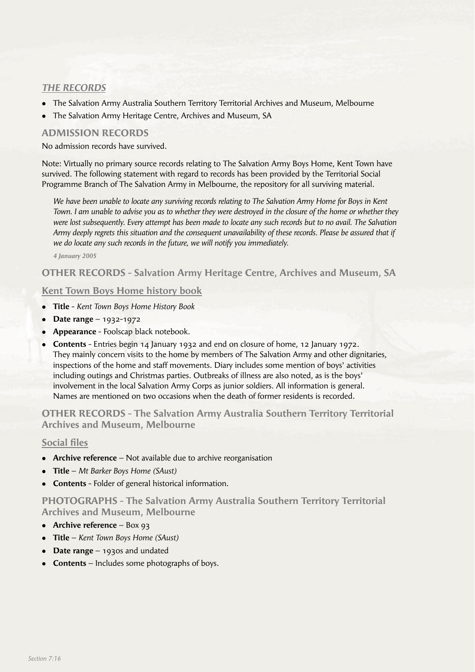# *THE RECORDS*

- <sup>l</sup> The Salvation Army Australia Southern Territory Territorial Archives and Museum, Melbourne
- The Salvation Army Heritage Centre, Archives and Museum, SA

# **ADMISSION RECORDS**

No admission records have survived.

Note: Virtually no primary source records relating to The Salvation Army Boys Home, Kent Town have survived. The following statement with regard to records has been provided by the Territorial Social Programme Branch of The Salvation Army in Melbourne, the repository for all surviving material.

*We have been unable to locate any surviving records relating to The Salvation Army Home for Boys in Kent Town. I am unable to advise you as to whether they were destroyed in the closure of the home or whether they were lost subsequently. Every attempt has been made to locate any such records but to no avail. The Salvation Army deeply regrets this situation and the consequent unavailability of these records. Please be assured that if we do locate any such records in the future, we will notify you immediately.*

*4 January 2005*

# **OTHER RECORDS - Salvation Army Heritage Centre, Archives and Museum, SA**

## **Kent Town Boys Home history book**

- <sup>l</sup> **Title** *Kent Town Boys Home History Book*
- **•** Date range 1932-1972
- **Appearance** Foolscap black notebook.
- <sup>l</sup> **Contents** Entries begin 14 January 1932 and end on closure of home, 12 January 1972. They mainly concern visits to the home by members of The Salvation Army and other dignitaries, inspections of the home and staff movements. Diary includes some mention of boys' activities including outings and Christmas parties. Outbreaks of illness are also noted, as is the boys' involvement in the local Salvation Army Corps as junior soldiers. All information is general. Names are mentioned on two occasions when the death of former residents is recorded.

**OTHER RECORDS - The Salvation Army Australia Southern Territory Territorial Archives and Museum, Melbourne**

## **Social files**

- **Archive reference** Not available due to archive reorganisation
- <sup>l</sup> **Title** *Mt Barker Boys Home (SAust)*
- **Contents** Folder of general historical information.

**PHOTOGRAPHS - The Salvation Army Australia Southern Territory Territorial Archives and Museum, Melbourne**

- **•** Archive reference Box 93
- <sup>l</sup> **Title** *Kent Town Boys Home (SAust)*
- **Date range** 1930s and undated
- **Contents** Includes some photographs of boys.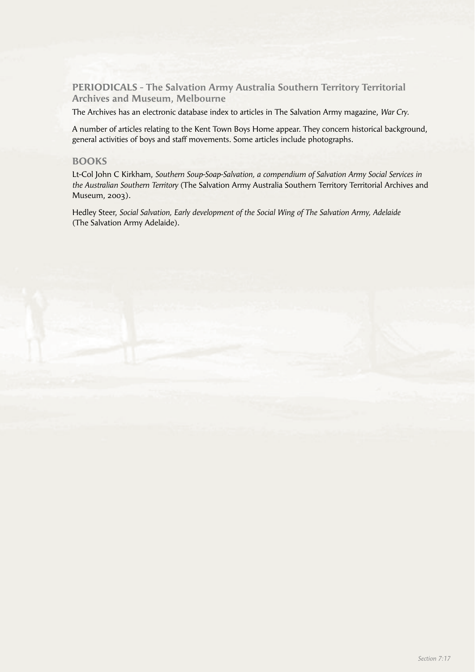**PERIODICALS - The Salvation Army Australia Southern Territory Territorial Archives and Museum, Melbourne**

The Archives has an electronic database index to articles in The Salvation Army magazine, *War Cry.*

A number of articles relating to the Kent Town Boys Home appear. They concern historical background, general activities of boys and staff movements. Some articles include photographs.

## **BOOKS**

Lt-Col John C Kirkham, *Southern Soup-Soap-Salvation, a compendium of Salvation Army Social Services in the Australian Southern Territory* (The Salvation Army Australia Southern Territory Territorial Archives and Museum, 2003).

Hedley Steer, *Social Salvation, Early development of the Social Wing of The Salvation Army, Adelaide*  (The Salvation Army Adelaide).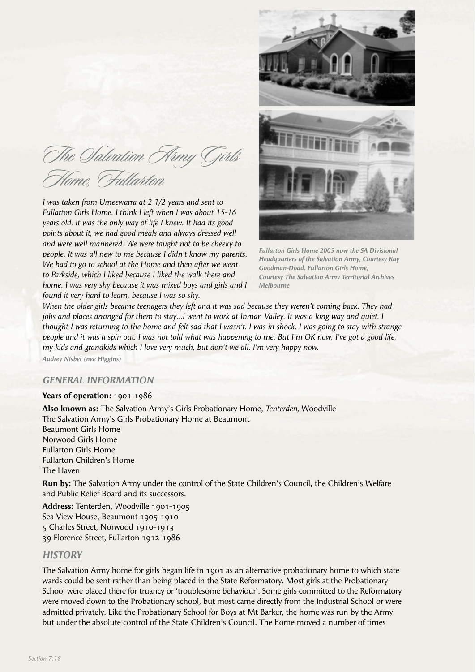The Olaloation Army Girls Home, Fullarton

*I was taken from Umeewarra at 2 1/2 years and sent to Fullarton Girls Home. I think I left when I was about 15-16 years old. It was the only way of life I knew. It had its good points about it, we had good meals and always dressed well and were well mannered. We were taught not to be cheeky to people. It was all new to me because I didn't know my parents. We had to go to school at the Home and then after we went to Parkside, which I liked because I liked the walk there and home. I was very shy because it was mixed boys and girls and I found it very hard to learn, because I was so shy.*



*Fullarton Girls Home 2005 now the SA Divisional Headquarters of the Salvation Army, Courtesy Kay Goodman-Dodd. Fullarton Girls Home, Courtesy The Salvation Army Territorial Archives Melbourne*

*When the older girls became teenagers they left and it was sad because they weren't coming back. They had jobs and places arranged for them to stay…I went to work at Inman Valley. It was a long way and quiet. I thought I was returning to the home and felt sad that I wasn't. I was in shock. I was going to stay with strange people and it was a spin out. I was not told what was happening to me. But I'm OK now, I've got a good life, my kids and grandkids which I love very much, but don't we all. I'm very happy now.*

*Audrey Nisbet (nee Higgins)*

#### *GENERAL INFORMATION*

**Years of operation:** 1901-1986

**Also known as:** The Salvation Army's Girls Probationary Home, *Tenterden,* Woodville The Salvation Army's Girls Probationary Home at Beaumont Beaumont Girls Home Norwood Girls Home Fullarton Girls Home Fullarton Children's Home The Haven

**Run by:** The Salvation Army under the control of the State Children's Council, the Children's Welfare and Public Relief Board and its successors.

**Address:** Tenterden, Woodville 1901-1905 Sea View House, Beaumont 1905-1910 5 Charles Street, Norwood 1910-1913 39 Florence Street, Fullarton 1912-1986

#### *HISTORY*

The Salvation Army home for girls began life in 1901 as an alternative probationary home to which state wards could be sent rather than being placed in the State Reformatory. Most girls at the Probationary School were placed there for truancy or 'troublesome behaviour'. Some girls committed to the Reformatory were moved down to the Probationary school, but most came directly from the Industrial School or were admitted privately. Like the Probationary School for Boys at Mt Barker, the home was run by the Army but under the absolute control of the State Children's Council. The home moved a number of times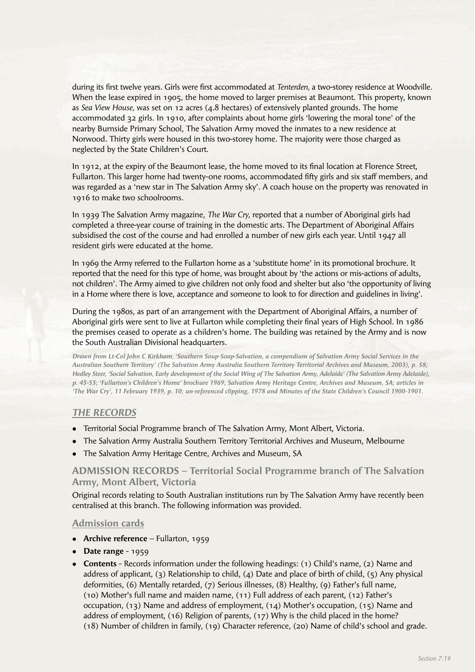during its first twelve years. Girls were first accommodated at *Tenterden*, a two-storey residence at Woodville. When the lease expired in 1905, the home moved to larger premises at Beaumont. This property, known as *Sea View House,* was set on 12 acres (4.8 hectares) of extensively planted grounds. The home accommodated 32 girls. In 1910, after complaints about home girls 'lowering the moral tone' of the nearby Burnside Primary School, The Salvation Army moved the inmates to a new residence at Norwood. Thirty girls were housed in this two-storey home. The majority were those charged as neglected by the State Children's Court.

In 1912, at the expiry of the Beaumont lease, the home moved to its final location at Florence Street, Fullarton. This larger home had twenty-one rooms, accommodated fifty girls and six staff members, and was regarded as a 'new star in The Salvation Army sky'. A coach house on the property was renovated in 1916 to make two schoolrooms.

In 1939 The Salvation Army magazine, *The War Cry,* reported that a number of Aboriginal girls had completed a three-year course of training in the domestic arts. The Department of Aboriginal Affairs subsidised the cost of the course and had enrolled a number of new girls each year. Until 1947 all resident girls were educated at the home.

In 1969 the Army referred to the Fullarton home as a 'substitute home' in its promotional brochure. It reported that the need for this type of home, was brought about by 'the actions or mis-actions of adults, not children'. The Army aimed to give children not only food and shelter but also 'the opportunity of living in a Home where there is love, acceptance and someone to look to for direction and guidelines in living'.

During the 1980s, as part of an arrangement with the Department of Aboriginal Affairs, a number of Aboriginal girls were sent to live at Fullarton while completing their final years of High School. In 1986 the premises ceased to operate as a children's home. The building was retained by the Army and is now the South Australian Divisional headquarters.

*Drawn from Lt-Col John C Kirkham, 'Southern Soup-Soap-Salvation, a compendium of Salvation Army Social Services in the Australian Southern Territory' (The Salvation Army Australia Southern Territory Territorial Archives and Museum, 2003), p. 58; Hedley Steer, 'Social Salvation, Early development of the Social Wing of The Salvation Army, Adelaide' (The Salvation Army Adelaide), p. 45-53; 'Fullarton's Children's Home' brochure 1969, Salvation Army Heritage Centre, Archives and Museum, SA; articles in 'The War Cry', 11 February 1939, p. 10; un-referenced clipping, 1978 and Minutes of the State Children's Council 1900-1901.*

## *THE RECORDS*

- Territorial Social Programme branch of The Salvation Army, Mont Albert, Victoria.
- The Salvation Army Australia Southern Territory Territorial Archives and Museum, Melbourne
- <sup>l</sup> The Salvation Army Heritage Centre, Archives and Museum, SA

## **ADMISSION RECORDS – Territorial Social Programme branch of The Salvation Army, Mont Albert, Victoria**

Original records relating to South Australian institutions run by The Salvation Army have recently been centralised at this branch. The following information was provided.

#### **Admission cards**

- **Archive reference** Fullarton, 1959
- **•** Date range 1959
- **Contents** Records information under the following headings: (1) Child's name, (2) Name and address of applicant, (3) Relationship to child, (4) Date and place of birth of child, (5) Any physical deformities, (6) Mentally retarded, (7) Serious illnesses, (8) Healthy, (9) Father's full name, (10) Mother's full name and maiden name, (11) Full address of each parent, (12) Father's occupation, (13) Name and address of employment, (14) Mother's occupation, (15) Name and address of employment, (16) Religion of parents, (17) Why is the child placed in the home? (18) Number of children in family, (19) Character reference, (20) Name of child's school and grade.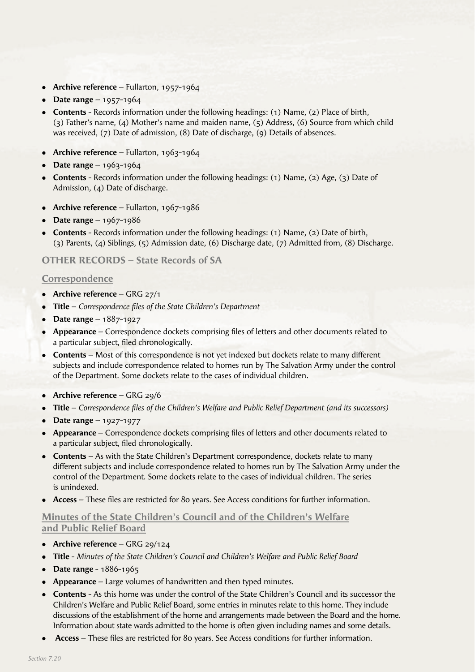- Archive reference Fullarton, 1957-1964
- **•** Date range 1957-1964
- **Contents** Records information under the following headings: (1) Name, (2) Place of birth, (3) Father's name, (4) Mother's name and maiden name, (5) Address, (6) Source from which child was received, (7) Date of admission, (8) Date of discharge, (9) Details of absences.
- **Archive reference** Fullarton, 1963-1964
- $\bullet$  **Date range** 1963-1964
- **Contents** Records information under the following headings: (1) Name, (2) Age, (3) Date of Admission, (4) Date of discharge.
- **Archive reference** Fullarton, 1967-1986
- **Date range**  $1967-1986$
- **Contents** Records information under the following headings: (1) Name, (2) Date of birth, (3) Parents, (4) Siblings, (5) Admission date, (6) Discharge date, (7) Admitted from, (8) Discharge.

# **OTHER RECORDS – State Records of SA**

## **Correspondence**

- **•** Archive reference GRG 27/1
- **Title** *Correspondence files of the State Children's Department*
- **•** Date range 1887-1927
- **Appearance** Correspondence dockets comprising files of letters and other documents related to a particular subject, filed chronologically.
- **Contents** Most of this correspondence is not yet indexed but dockets relate to many different subjects and include correspondence related to homes run by The Salvation Army under the control of the Department. Some dockets relate to the cases of individual children.
- **Archive reference** GRG 29/6
- **Title** *Correspondence files of the Children's Welfare and Public Relief Department (and its successors)*
- **•** Date range 1927-1977
- **Appearance** Correspondence dockets comprising files of letters and other documents related to a particular subject, filed chronologically.
- **Contents** As with the State Children's Department correspondence, dockets relate to many different subjects and include correspondence related to homes run by The Salvation Army under the control of the Department. Some dockets relate to the cases of individual children. The series is unindexed.
- Access These files are restricted for 80 years. See Access conditions for further information.

# **Minutes of the State Children's Council and of the Children's Welfare and Public Relief Board**

- **•** Archive reference GRG 29/124
- <sup>l</sup> **Title** *Minutes of the State Children's Council and Children's Welfare and Public Relief Board*
- **•** Date range 1886-1965
- **Appearance** Large volumes of handwritten and then typed minutes.
- **Contents** As this home was under the control of the State Children's Council and its successor the Children's Welfare and Public Relief Board, some entries in minutes relate to this home. They include discussions of the establishment of the home and arrangements made between the Board and the home. Information about state wards admitted to the home is often given including names and some details.
- **Access** These files are restricted for 80 years. See Access conditions for further information.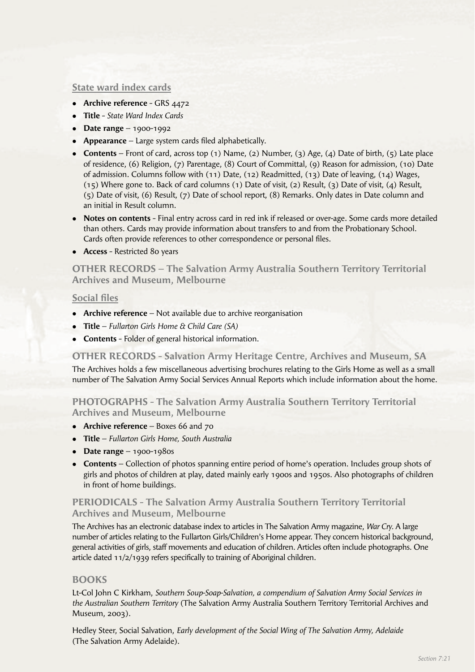# **State ward index cards**

- **Archive reference** GRS 4472
- <sup>l</sup> **Title** *State Ward Index Cards*
- **•** Date range 1900-1992
- **Appearance** Large system cards filed alphabetically.
- <sup>l</sup> **Contents** Front of card, across top (1) Name, (2) Number, (3) Age, (4) Date of birth, (5) Late place of residence, (6) Religion, (7) Parentage, (8) Court of Committal, (9) Reason for admission, (10) Date of admission. Columns follow with (11) Date, (12) Readmitted, (13) Date of leaving, (14) Wages, (15) Where gone to. Back of card columns (1) Date of visit, (2) Result, (3) Date of visit, (4) Result, (5) Date of visit, (6) Result, (7) Date of school report, (8) Remarks. Only dates in Date column and an initial in Result column.
- **Notes on contents** Final entry across card in red ink if released or over-age. Some cards more detailed than others. Cards may provide information about transfers to and from the Probationary School. Cards often provide references to other correspondence or personal files.
- **Access** Restricted 80 years

**OTHER RECORDS – The Salvation Army Australia Southern Territory Territorial Archives and Museum, Melbourne**

## **Social files**

- **Archive reference** Not available due to archive reorganisation
- <sup>l</sup> **Title** *Fullarton Girls Home & Child Care (SA)*
- **Contents** Folder of general historical information.

**OTHER RECORDS - Salvation Army Heritage Centre, Archives and Museum, SA**

The Archives holds a few miscellaneous advertising brochures relating to the Girls Home as well as a small number of The Salvation Army Social Services Annual Reports which include information about the home.

**PHOTOGRAPHS - The Salvation Army Australia Southern Territory Territorial Archives and Museum, Melbourne**

- **Archive reference** Boxes 66 and 70
- **Title** *Fullarton Girls Home, South Australia*
- **•** Date range  $1900-1980s$
- **Contents** Collection of photos spanning entire period of home's operation. Includes group shots of girls and photos of children at play, dated mainly early 1900s and 1950s. Also photographs of children in front of home buildings.

# **PERIODICALS - The Salvation Army Australia Southern Territory Territorial Archives and Museum, Melbourne**

The Archives has an electronic database index to articles in The Salvation Army magazine, *War Cry.* A large number of articles relating to the Fullarton Girls/Children's Home appear. They concern historical background, general activities of girls, staff movements and education of children. Articles often include photographs. One article dated 11/2/1939 refers specifically to training of Aboriginal children.

## **BOOKS**

Lt-Col John C Kirkham, *Southern Soup-Soap-Salvation, a compendium of Salvation Army Social Services in the Australian Southern Territory* (The Salvation Army Australia Southern Territory Territorial Archives and Museum, 2003).

Hedley Steer, Social Salvation, *Early development of the Social Wing of The Salvation Army, Adelaide*  (The Salvation Army Adelaide).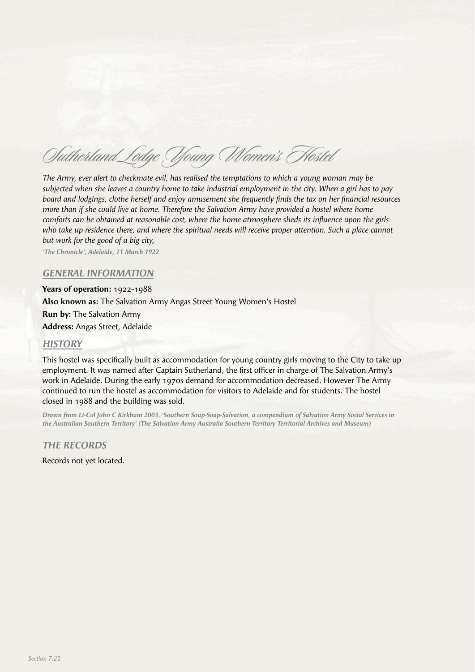Sutherland Lodge Young Women's Hostel

*The Army, ever alert to checkmate evil, has realised the temptations to which a young woman may be subjected when she leaves a country home to take industrial employment in the city. When a girl has to pay board and lodgings, clothe herself and enjoy amusement she frequently finds the tax on her financial resources more than if she could live at home. Therefore the Salvation Army have provided a hostel where home comforts can be obtained at reasonable cost, where the home atmosphere sheds its influence upon the girls* who take up residence there, and where the spiritual needs will receive proper attention. Such a place cannot *but work for the good of a big city,*

*'The Chronicle', Adelaide, 11 March 1922*

#### *GENERAL INFORMATION*

**Years of operation:** 1922-1988 **Also known as:** The Salvation Army Angas Street Young Women's Hostel **Run by:** The Salvation Army **Address:** Angas Street, Adelaide

#### *HISTORY*

This hostel was specifically built as accommodation for young country girls moving to the City to take up employment. It was named after Captain Sutherland, the first officer in charge of The Salvation Army's work in Adelaide. During the early 1970s demand for accommodation decreased. However The Army continued to run the hostel as accommodation for visitors to Adelaide and for students. The hostel closed in 1988 and the building was sold.

*Drawn from Lt-Col John C Kirkham 2003, 'Southern Soup-Soap-Salvation, a compendium of Salvation Army Social Services in the Australian Southern Territory' (The Salvation Army Australia Southern Territory Territorial Archives and Museum)*

*THE RECORDS*

Records not yet located.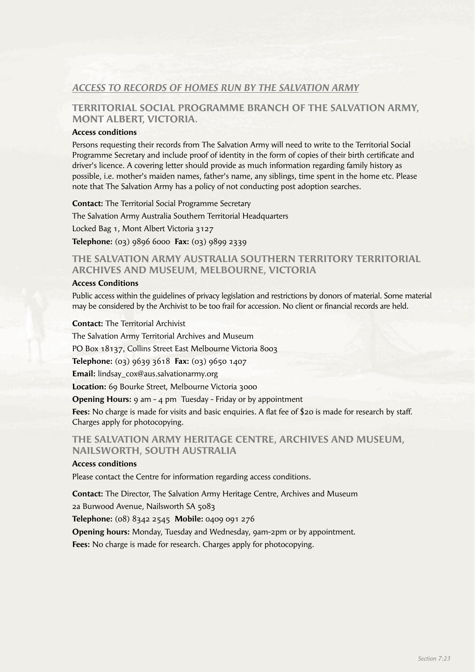# *ACCESS TO RECORDS OF HOMES RUN BY THE SALVATION ARMY*

# **TERRITORIAL SOCIAL PROGRAMME BRANCH OF THE SALVATION ARMY, MONT ALBERT, VICTORIA.**

#### **Access conditions**

Persons requesting their records from The Salvation Army will need to write to the Territorial Social Programme Secretary and include proof of identity in the form of copies of their birth certificate and driver's licence. A covering letter should provide as much information regarding family history as possible, i.e. mother's maiden names, father's name, any siblings, time spent in the home etc. Please note that The Salvation Army has a policy of not conducting post adoption searches.

**Contact:** The Territorial Social Programme Secretary The Salvation Army Australia Southern Territorial Headquarters Locked Bag 1, Mont Albert Victoria 3127 **Telephone:** (03) 9896 6000 **Fax:** (03) 9899 2339

# **THE SALVATION ARMY AUSTRALIA SOUTHERN TERRITORY TERRITORIAL ARCHIVES AND MUSEUM, MELBOURNE, VICTORIA**

#### **Access Conditions**

Public access within the guidelines of privacy legislation and restrictions by donors of material. Some material may be considered by the Archivist to be too frail for accession. No client or financial records are held.

**Contact:** The Territorial Archivist

The Salvation Army Territorial Archives and Museum

PO Box 18137, Collins Street East Melbourne Victoria 8003

**Telephone:** (03) 9639 3618 **Fax:** (03) 9650 1407

**Email:** lindsay\_cox@aus.salvationarmy.org

**Location:** 69 Bourke Street, Melbourne Victoria 3000

**Opening Hours:** 9 am - 4 pm Tuesday - Friday or by appointment

Fees: No charge is made for visits and basic enquiries. A flat fee of \$20 is made for research by staff. Charges apply for photocopying.

# **THE SALVATION ARMY HERITAGE CENTRE, ARCHIVES AND MUSEUM, NAILSWORTH, SOUTH AUSTRALIA**

#### **Access conditions**

Please contact the Centre for information regarding access conditions.

**Contact:** The Director, The Salvation Army Heritage Centre, Archives and Museum

2a Burwood Avenue, Nailsworth SA 5083

**Telephone:** (08) 8342 2545 **Mobile:** 0409 091 276

**Opening hours:** Monday, Tuesday and Wednesday, 9am-2pm or by appointment.

**Fees:** No charge is made for research. Charges apply for photocopying.